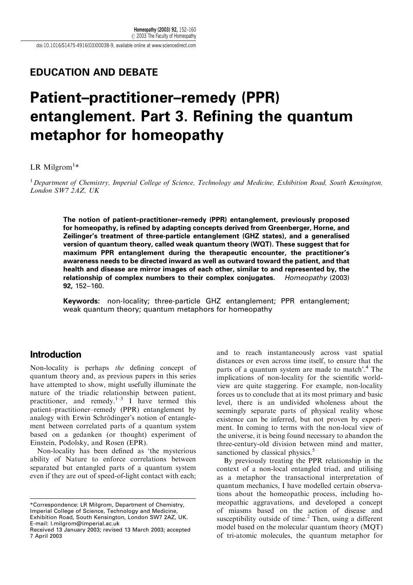# **EDUCATION AND DEBATE**

# **Patient–practitioner–remedy (PPR) entanglement. Part 3. Refining the quantum metaphor for homeopathy**

### LR Milgrom<sup>1</sup>\*

 $1$  Department of Chemistry, Imperial College of Science, Technology and Medicine, Exhibition Road, South Kensington, London SW7 2AZ, UK

**The notion of patient–practitioner–remedy (PPR) entanglement, previously proposed for homeopathy, is refined by adapting concepts derived from Greenberger, Horne, and Zeilinger's treatment of three-particle entanglement (GHZ states), and a generalised version of quantum theory, called weak quantum theory (WQT). These suggest that for maximum PPR entanglement during the therapeutic encounter, the practitioner's awareness needs to be directed inward as well as outward toward the patient, and that health and disease are mirror images of each other, similar to and represented by, the relationship of complex numbers to their complex conjugates.** *Homeopathy* (2003) **92,** 152–160.

**Keywords:** non-locality; three-particle GHZ entanglement; PPR entanglement; weak quantum theory; quantum metaphors for homeopathy

## Introduction

Non-locality is perhaps the defining concept of quantum theory and, as previous papers in this series have attempted to show, might usefully illuminate the nature of the triadic relationship between patient, practitioner, and remedy.<sup>1–3</sup> I have termed this patient–practitioner–remedy (PPR) entanglement by analogy with Erwin Schrödinger's notion of entanglement between correlated parts of a quantum system based on a gedanken (or thought) experiment of Einstein, Podolsky, and Rosen (EPR).

Non-locality has been defined as 'the mysterious ability of Nature to enforce correlations between separated but entangled parts of a quantum system even if they are out of speed-of-light contact with each; and to reach instantaneously across vast spatial distances or even across time itself, to ensure that the parts of a quantum system are made to match'.<sup>4</sup> The implications of non-locality for the scientific worldview are quite staggering. For example, non-locality forces us to conclude that at its most primary and basic level, there is an undivided wholeness about the seemingly separate parts of physical reality whose existence can be inferred, but not proven by experiment.In coming to terms with the non-local view of the universe, it is being found necessary to abandon the three-century-old division between mind and matter, sanctioned by classical physics.<sup>5</sup>

By previously treating the PPR relationship in the context of a non-local entangled triad, and utilising as a metaphor the transactional interpretation of quantum mechanics, I have modelled certain observations about the homeopathic process, including homeopathic aggravations, and developed a concept of miasms based on the action of disease and susceptibility outside of time. $^2$  Then, using a different model based on the molecular quantum theory (MQT) of tri-atomic molecules, the quantum metaphor for

<sup>\*</sup>Correspondence: LR Milgrom, Department of Chemistry, Imperial College of Science, Technology and Medicine, Exhibition Road, South Kensington, London SW7 2AZ, UK. E-mail: l.milgrom@imperial.ac.uk

Received 13 January 2003; revised 13 March 2003; accepted 7 April 2003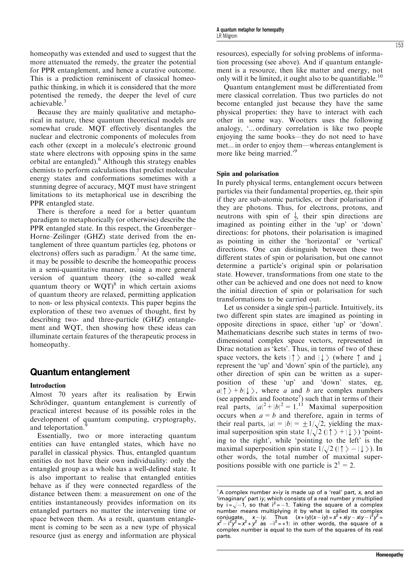achievable.<sup>3</sup> Because they are mainly qualitative and metaphorical in nature, these quantum theoretical models are somewhat crude. MOT effectively disentangles the nuclear and electronic components of molecules from each other (except in a molecule's electronic ground state where electrons with opposing spins in the same orbital are entangled).<sup>6</sup> Although this strategy enables chemists to perform calculations that predict molecular energy states and conformations sometimes with a stunning degree of accuracy, MQT must have stringent limitations to its metaphorical use in describing the PPR entangled state.

There is therefore a need for a better quantum paradigm to metaphorically (or otherwise) describe the PPR entangled state.In this respect, the Greenberger– Horne–Zeilinger (GHZ) state derived from the entanglement of three quantum particles (eg, photons or electrons) offers such as paradigm.<sup>7</sup> At the same time, it may be possible to describe the homeopathic process in a semi-quantitative manner, using a more general version of quantum theory (the so-called weak quantum theory or  $WQT$ <sup>8</sup> in which certain axioms of quantum theory are relaxed, permitting application to non- or less physical contexts.This paper begins the exploration of these two avenues of thought, first by describing two- and three-particle (GHZ) entanglement and WQT, then showing how these ideas can illuminate certain features of the therapeutic process in homeopathy.

## Quantum entanglement

#### Introduction

Almost 70 years after its realisation by Erwin Schrödinger, quantum entanglement is currently of practical interest because of its possible roles in the development of quantum computing, cryptography, and teleportation.

Essentially, two or more interacting quantum entities can have entangled states, which have no parallel in classical physics.Thus, entangled quantum entities do not have their own individuality: only the entangled group as a whole has a well-defined state.It is also important to realise that entangled entities behave as if they were connected regardless of the distance between them: a measurement on one of the entities instantaneously provides information on its entangled partners no matter the intervening time or space between them. As a result, quantum entanglement is coming to be seen as a new type of physical resource (just as energy and information are physical resources), especially for solving problems of information processing (see above). And if quantum entanglement is a resource, then like matter and energy, not only will it be limited, it ought also to be quantifiable.<sup>10</sup>

Quantum entanglement must be differentiated from mere classical correlation.Thus two particles do not become entangled just because they have the same physical properties: they have to interact with each other in some way.Wootters uses the following analogy, '... ordinary correlation is like two people enjoying the same books—they do not need to have met... in order to enjoy them—whereas entanglement is more like being married.<sup>'9</sup>

#### Spin and polarisation

In purely physical terms, entanglement occurs between particles via their fundamental properties, eg, their spin if they are sub-atomic particles, or their polarisation if they are photons.Thus, for electrons, protons, and neutrons with spin of  $\frac{1}{2}$ , their spin directions are imagined as pointing either in the 'up' or 'down' directions: for photons, their polarisation is imagined as pointing in either the 'horizontal' or 'vertical' directions.One can distinguish between these two different states of spin or polarisation, but one cannot determine a particle's original spin or polarisation state.However, transformations from one state to the other can be achieved and one does not need to know the initial direction of spin or polarisation for such transformations to be carried out.

Let us consider a single spin- $\frac{1}{2}$  particle. Intuitively, its two different spin states are imagined as pointing in opposite directions in space, either 'up' or 'down'. Mathematicians describe such states in terms of twodimensional complex space vectors, represented in Dirac notation as 'kets'. Thus, in terms of two of these space vectors, the kets  $|\uparrow\rangle$  and  $|\downarrow\rangle$  (where  $\uparrow$  and  $\downarrow$ represent the 'up' and 'down' spin of the particle), any other direction of spin can be written as a superposition of these 'up' and 'down' states, eg,  $a|\uparrow\rangle + b|\downarrow\rangle$ , where a and b are complex numbers (see appendix and footnote<sup> $\bar{r}$ </sup>) such that in terms of their real parts,  $|a|^2 + |b|^2 = 1$ .<sup>11</sup> Maximal superposition occurs when  $a = b$  and therefore, again in terms of their real parts,  $|a|=|b| = \pm 1/\sqrt{2}$ , yielding the maximal superposition spin state  $1/\sqrt{2}$  ( $|\uparrow\rangle + |\downarrow\rangle$ ) 'pointing to the right', while 'pointing to the left' is the maximal superposition spin state  $1/\sqrt{2}$  ( $|\uparrow\rangle - |\downarrow\rangle$ ). In other words, the total number of maximal superpositions possible with one particle is  $2^1 = 2$ .

 $^{\dagger}$ A complex number x+iy is made up of a 'real' part, x, and an 'imaginary' part iy, which consists of a real number y multiplied by  $i = \sqrt{-1}$ , so that  $i^2 = -1$ . Taking the square of a complex number means multiplying it by what is called its complex<br>conjugate, x–iy. Thus {x+iy}{x–iy}=x<sup>2</sup>+xiy–xiy–i<sup>2</sup>y<sup>2</sup>=  $x^2 - i^2y^2 = x^2 + y^2$  as  $-i^2 = +1$ : in other words, the square of a complex number is equal to the sum of the squares of its real parts.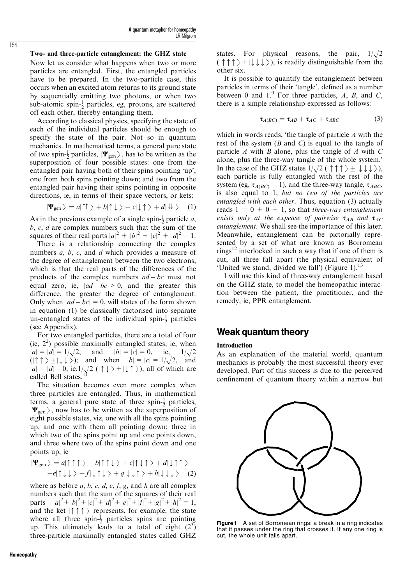#### Two- and three-particle entanglement: the GHZ state

Now let us consider what happens when two or more particles are entangled. First, the entangled particles have to be prepared. In the two-particle case, this occurs when an excited atom returns to its ground state by sequentially emitting two photons, or when two sub-atomic spin- $\frac{1}{2}$  particles, eg, protons, are scattered off each other, thereby entangling them.

According to classical physics, specifying the state of each of the individual particles should be enough to specify the state of the pair. Not so in quantum mechanics.In mathematical terms, a general pure state of two spin- $\frac{1}{2}$  particles,  $|\Psi_{\text{gen}}\rangle$ , has to be written as the superposition of four possible states; one from the superposition of four possible states: one from the entangled pair having both of their spins pointing 'up'; one from both spins pointing down; and two from the entangled pair having their spins pointing in opposite directions, ie, in terms of their space vectors, or kets:

$$
|\Psi_{\text{gen}}\rangle = a|\uparrow\uparrow\rangle + b|\uparrow\downarrow\rangle + c|\downarrow\uparrow\rangle + d|\downarrow\downarrow\rangle \quad (1)
$$

As in the previous example of a single spin- $\frac{1}{2}$  particle a,  $b, c, d$  are complex numbers such that the sum of the squares of their real parts  $|a|^2 + |b|^2 + |c|^2 + |d|^2 = 1$ .

There is a relationship connecting the complex numbers  $a, b, c$ , and  $d$  which provides a measure of the degree of entanglement between the two electrons, which is that the real parts of the differences of the products of the complex numbers  $ad - bc$  must not equal zero, ie,  $|ad-bc|>0$ , and the greater this difference, the greater the degree of entanglement. Only when  $|ad - bc| = 0$ , will states of the form shown in equation (1) be classically factorised into separate un-entangled states of the individual spin- $\frac{1}{2}$  particles (see Appendix).

For two entangled particles, there are a total of four  $(i$ e,  $2<sup>2</sup>$ ) possible maximally entangled states, ie, when  $|a| = |d| = 1/\sqrt{2}$ , and  $|b| = |c| = 0$ , ie,  $1/\sqrt{2}$  $(|\uparrow \uparrow \rangle \pm |\downarrow \downarrow \rangle)$ ; and when  $|b| = |c| = 1/\sqrt{2}$ , and  $|a|=|d|=0$ , ie,1/ $\sqrt{2}$  ( $|\uparrow \downarrow \rangle + |\downarrow \uparrow \rangle$ ), all of which are called Bell states.<sup>1</sup>

The situation becomes even more complex when three particles are entangled.Thus, in mathematical terms, a general pure state of three spin- $\frac{1}{2}$  particles,  $|\Psi_{\text{gen}}\rangle$ , now has to be written as the superposition of eight possible states, viz, one with all the spins pointing up, and one with them all pointing down; three in which two of the spins point up and one points down, and three where two of the spins point down and one points up, ie

$$
|\Psi_{\text{gen}}\rangle = a|\uparrow \uparrow \uparrow \rangle + b|\uparrow \uparrow \downarrow \rangle + c|\uparrow \downarrow \uparrow \rangle + d|\downarrow \uparrow \uparrow \rangle
$$
  
+e|\uparrow \downarrow \downarrow \rangle + f|\downarrow \uparrow \downarrow \rangle + g|\downarrow \downarrow \uparrow \rangle + h|\downarrow \downarrow \downarrow \rangle (2)

where as before  $a, b, c, d, e, f, g$ , and h are all complex numbers such that the sum of the squares of their real parts  $|a|^2 + |b|^2 + |c|^2 + |d|^2 + |e|^2 + |f|^2 + |g|^2 + |h|^2 = 1$ , and the ket  $|\uparrow \uparrow \uparrow \rangle$  represents, for example, the state where all three spin- $\frac{1}{2}$  particles spins are pointing up. This ultimately leads to a total of eight  $(2^3)$ three-particle maximally entangled states called GHZ states. For physical reasons, the pair,  $1/\sqrt{2}$  $(|\uparrow \uparrow \uparrow \rangle + |\downarrow \downarrow \downarrow \rangle)$ , is readily distinguishable from the other six.

It is possible to quantify the entanglement between particles in terms of their 'tangle', defined as a number between 0 and  $1<sup>9</sup>$  For three particles, A, B, and C, there is a simple relationship expressed as follows:

$$
\tau_{A(BC)} = \tau_{AB} + \tau_{AC} + \tau_{ABC} \tag{3}
$$

which in words reads, 'the tangle of particle A with the rest of the system  $(B \text{ and } C)$  is equal to the tangle of particle A with B alone, plus the tangle of A with  $C$ alone, plus the three-way tangle of the whole system.' In the case of the GHZ states  $1/\sqrt{2}$  ( $|\uparrow \uparrow \uparrow \rangle \pm |\downarrow \downarrow \rangle$ ), each particle is fully entangled with the rest of the system (eg,  $\tau_{A(BC)} = 1$ ), and the three-way tangle,  $\tau_{ABC}$ , is also equal to 1, but no two of the particles are entangled with each other. Thus, equation (3) actually reads  $1 = 0 + 0 + 1$ , so that three-way entanglement exists only at the expense of pairwise  $\tau_{AB}$  and  $\tau_{AC}$ entanglement.We shall see the importance of this later. Meanwhile, entanglement can be pictorially represented by a set of what are known as Borromean rings<sup>12</sup> interlocked in such a way that if one of them is cut, all three fall apart (the physical equivalent of 'United we stand, divided we fall') (Figure 1). $^{13}$ 

I will use this kind of three-way entanglement based on the GHZ state, to model the homeopathic interaction between the patient, the practitioner, and the remedy, ie, PPR entanglement.

## Weak quantum theory

#### Introduction

As an explanation of the material world, quantum mechanics is probably the most successful theory ever developed.Part of this success is due to the perceived confinement of quantum theory within a narrow but



that it passes under the ring that crosses it. If any one ring is

cut, the whole unit falls apart.

154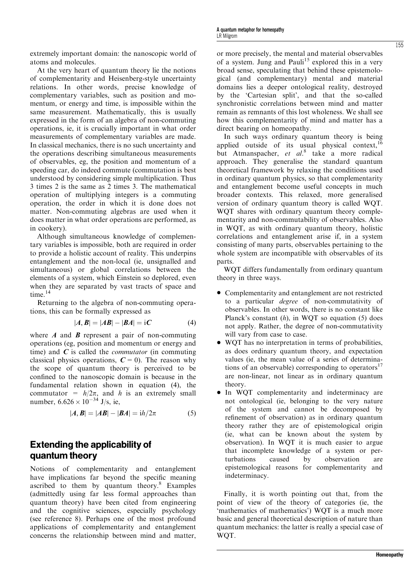extremely important domain: the nanoscopic world of atoms and molecules.

At the very heart of quantum theory lie the notions of complementarity and Heisenberg-style uncertainty relations.In other words, precise knowledge of complementary variables, such as position and momentum, or energy and time, is impossible within the same measurement. Mathematically, this is usually expressed in the form of an algebra of non-commuting operations, ie, it is crucially important in what order measurements of complementary variables are made. In classical mechanics, there is no such uncertainty and the operations describing simultaneous measurements of observables, eg, the position and momentum of a speeding car, do indeed commute (commutation is best understood by considering simple multiplication.Thus 3 times 2 is the same as 2 times 3.The mathematical operation of multiplying integers is a commuting operation, the order in which it is done does not matter. Non-commuting algebras are used when it does matter in what order operations are performed, as in cookery).

Although simultaneous knowledge of complementary variables is impossible, both are required in order to provide a holistic account of reality.This underpins entanglement and the non-local (ie, unsignalled and simultaneous) or global correlations between the elements of a system, which Einstein so deplored, even when they are separated by vast tracts of space and time.<sup>14</sup>

Returning to the algebra of non-commuting operations, this can be formally expressed as

$$
|A, B| = |AB| - |BA| = iC \tag{4}
$$

where  $\vec{A}$  and  $\vec{B}$  represent a pair of non-commuting operations (eg, position and momentum or energy and time) and  $C$  is called the *commutator* (in commuting classical physics operations,  $C = 0$ ). The reason why the scope of quantum theory is perceived to be confined to the nanoscopic domain is because in the fundamental relation shown in equation (4), the commutator =  $h/2\pi$ , and h is an extremely small number,  $6.626 \times 10^{-34}$  J/s, ie,

$$
|A, B| = |AB| - |BA| = \mathrm{i}h/2\pi \tag{5}
$$

## Extending the applicability of quantum theory

Notions of complementarity and entanglement have implications far beyond the specific meaning ascribed to them by quantum theory. $8$  Examples (admittedly using far less formal approaches than quantum theory) have been cited from engineering and the cognitive sciences, especially psychology (see reference 8). Perhaps one of the most profound applications of complementarity and entanglement concerns the relationship between mind and matter, or more precisely, the mental and material observables of a system. Jung and Pauli<sup>15</sup> explored this in a very broad sense, speculating that behind these epistemological (and complementary) mental and material domains lies a deeper ontological reality, destroyed by the 'Cartesian split', and that the so-called synchronistic correlations between mind and matter remain as remnants of this lost wholeness.We shall see how this complementarity of mind and matter has a direct bearing on homeopathy.

In such ways ordinary quantum theory is being applied outside of its usual physical context, $<sup>1</sup>$ </sup> but Atmanspacher, et  $al^8$  take a more radical approach.They generalise the standard quantum theoretical framework by relaxing the conditions used in ordinary quantum physics, so that complementarity and entanglement become useful concepts in much broader contexts.This relaxed, more generalised version of ordinary quantum theory is called WQT. WQT shares with ordinary quantum theory complementarity and non-commutability of observables.Also in WQT, as with ordinary quantum theory, holistic correlations and entanglement arise if, in a system consisting of many parts, observables pertaining to the whole system are incompatible with observables of its parts.

WQT differs fundamentally from ordinary quantum theory in three ways.

- \* Complementarity and entanglement are not restricted to a particular degree of non-commutativity of observables.In other words, there is no constant like Planck's constant  $(h)$ , in WQT so equation (5) does not apply. Rather, the degree of non-commutativity will vary from case to case.
- WQT has no interpretation in terms of probabilities, as does ordinary quantum theory, and expectation values (ie, the mean value of a series of determinations of an observable) corresponding to operators<sup>17</sup> are non-linear, not linear as in ordinary quantum theory.
- In WQT complementarity and indeterminacy are not ontological (ie, belonging to the very nature of the system and cannot be decomposed by refinement of observation) as in ordinary quantum theory rather they are of epistemological origin (ie, what can be known about the system by observation).In WQT it is much easier to argue that incomplete knowledge of a system or perturbations caused by observation are epistemological reasons for complementarity and indeterminacy.

Finally, it is worth pointing out that, from the point of view of the theory of categories (ie, the 'mathematics of mathematics') WQT is a much more basic and general theoretical description of nature than quantum mechanics: the latter is really a special case of WQT.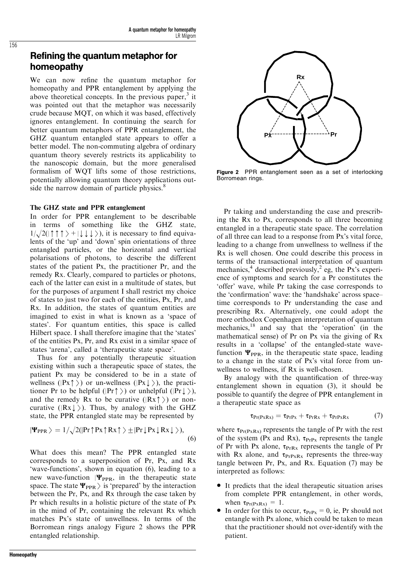## Refining the quantum metaphor for homeopathy

We can now refine the quantum metaphor for homeopathy and PPR entanglement by applying the above theoretical concepts. In the previous paper, $3$  it was pointed out that the metaphor was necessarily crude because MQT, on which it was based, effectively ignores entanglement. In continuing the search for better quantum metaphors of PPR entanglement, the GHZ quantum entangled state appears to offer a better model. The non-commuting algebra of ordinary quantum theory severely restricts its applicability to the nanoscopic domain, but the more generalised formalism of WQT lifts some of those restrictions, potentially allowing quantum theory applications outside the narrow domain of particle physics.<sup>8</sup>

#### The GHZ state and PPR entanglement

In order for PPR entanglement to be describable in terms of something like the GHZ state,  $1/\sqrt{2}(|\uparrow \uparrow \uparrow \rangle + |\downarrow \downarrow \downarrow \rangle)$ , it is necessary to find equivalents of the 'up' and 'down' spin orientations of three entangled particles, or the horizontal and vertical polarisations of photons, to describe the different states of the patient Px, the practitioner Pr, and the remedy Rx.Clearly, compared to particles or photons, each of the latter can exist in a multitude of states, but for the purposes of argument I shall restrict my choice of states to just two for each of the entities, Px, Pr, and Rx.In addition, the states of quantum entities are imagined to exist in what is known as a 'space of states'. For quantum entities, this space is called Hilbert space.I shall therefore imagine that the 'states' of the entities Px, Pr, and Rx exist in a similar space of states 'arena', called a 'therapeutic state space'.

Thus for any potentially therapeutic situation existing within such a therapeutic space of states, the patient Px may be considered to be in a state of wellness ( $|Px \uparrow \rangle$ ) or un-wellness ( $|Px \downarrow \rangle$ ), the practitioner Pr to be helpful ( $|Pr \uparrow \rangle$ ) or unhelpful ( $|Pr \downarrow \rangle$ ), and the remedy Rx to be curative ( $|Rx\uparrow\rangle$ ) or noncurative ( $|Rx|$ ). Thus, by analogy with the GHZ state, the PPR entangled state may be represented by

$$
|\Psi_{PPR}\rangle = 1/\sqrt{2(|Pr \uparrow Px \uparrow Rx \uparrow \rangle \pm |Pr \downarrow Px \downarrow Rx \downarrow \rangle)},
$$
(6)

What does this mean? The PPR entangled state corresponds to a superposition of Pr, Px, and Rx 'wave-functions', shown in equation (6), leading to a new wave-function  $|\Psi_{PPR}$ , in the therapeutic state space. The state  $\Psi_{\text{PPR}}$  is 'prepared' by the interaction between the Pr, Px, and Rx through the case taken by Pr which results in a holistic picture of the state of Px in the mind of Pr, containing the relevant Rx which matches Px's state of unwellness.In terms of the Borromean rings analogy Figure 2 shows the PPR entangled relationship.



Figure 2 PPR entanglement seen as a set of interlocking Borromean rings.

Pr taking and understanding the case and prescribing the Rx to Px, corresponds to all three becoming entangled in a therapeutic state space.The correlation of all three can lead to a response from Px's vital force, leading to a change from unwellness to wellness if the Rx is well chosen.One could describe this process in terms of the transactional interpretation of quantum mechanics,<sup>4</sup> described previously,<sup>2</sup> eg, the Px's experience of symptoms and search for a Pr constitutes the 'offer' wave, while Pr taking the case corresponds to the 'confirmation' wave: the 'handshake' across space– time corresponds to Pr understanding the case and prescribing Rx.Alternatively, one could adopt the more orthodox Copenhagen interpretation of quantum mechanics,<sup>18</sup> and say that the 'operation' (in the mathematical sense) of Pr on Px via the giving of Rx results in a 'collapse' of the entangled-state wavefunction  $\Psi_{\text{PPR}}$ , in the therapeutic state space, leading to a change in the state of Px's vital force from unwellness to wellness, if Rx is well-chosen.

By analogy with the quantification of three-way entanglement shown in equation (3), it should be possible to quantify the degree of PPR entanglement in a therapeutic state space as

$$
\tau_{Pr(PxRx)} = \tau_{PrPx} + \tau_{PrRx} + \tau_{PrPxRx}
$$
 (7)

where  $\tau_{Pr(PxRx)}$  represents the tangle of Pr with the rest of the system (Px and Rx),  $\tau_{PrPx}$  represents the tangle of Pr with Px alone,  $\tau_{PrRx}$  represents the tangle of Pr with Rx alone, and  $\tau_{PrPxRx}$  represents the three-way tangle between  $Pr$ ,  $Px$ , and  $Rx$ . Equation (7) may be interpreted as follows:

- It predicts that the ideal therapeutic situation arises from complete PPR entanglement, in other words, when  $\tau_{Pr(PxRx)} = 1$ .
- In order for this to occur,  $\tau_{PrPx} = 0$ , ie, Pr should not entangle with Px alone, which could be taken to mean that the practitioner should not over-identify with the patient.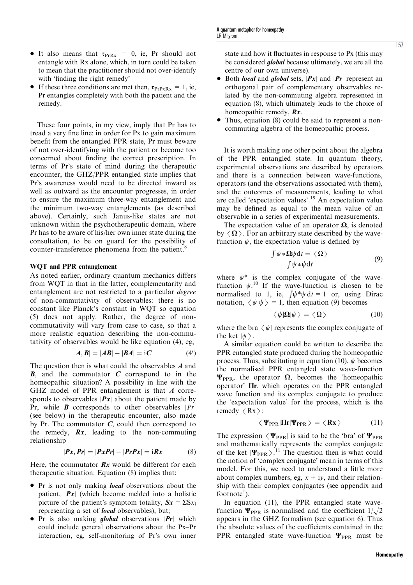- It also means that  $\tau_{PrRx} = 0$ , ie, Pr should not entangle with Rx alone, which, in turn could be taken to mean that the practitioner should not over-identify with 'finding the right remedy'
- If these three conditions are met then,  $\tau_{PrPxRx} = 1$ , ie, Pr entangles completely with both the patient and the remedy.

These four points, in my view, imply that Pr has to tread a very fine line: in order for Px to gain maximum benefit from the entangled PPR state, Pr must beware of not over-identifying with the patient or become too concerned about finding the correct prescription.In terms of Pr's state of mind during the therapeutic encounter, the GHZ/PPR entangled state implies that Pr's awareness would need to be directed inward as well as outward as the encounter progresses, in order to ensure the maximum three-way entanglement and the minimum two-way entanglements (as described above). Certainly, such Janus-like states are not unknown within the psychotherapeutic domain, where Pr has to be aware of his/her own inner state during the consultation, to be on guard for the possibility of counter-transference phenomena from the patient.<sup>8</sup>

#### WQT and PPR entanglement

As noted earlier, ordinary quantum mechanics differs from WQT in that in the latter, complementarity and entanglement are not restricted to a particular degree of non-commutativity of observables: there is no constant like Planck's constant in WQT so equation (5) does not apply. Rather, the degree of noncommutativity will vary from case to case, so that a more realistic equation describing the non-commutativity of observables would be like equation (4), eg,

$$
|A, B| = |AB| - |BA| = iC \tag{4'}
$$

The question then is what could the observables A and  $\mathbf{B}$ , and the commutator  $\mathbf C$  correspond to in the homeopathic situation? A possibility in line with the GHZ model of PPR entanglement is that A corresponds to observables  $|Px|$  about the patient made by Pr, while **B** corresponds to other observables  $|Pr|$ (see below) in the therapeutic encounter, also made by Pr. The commutator  $C$ , could then correspond to the remedy,  $Rx$ , leading to the non-commuting relationship

$$
|Px, Pr| = |PxPr| - |PrPx| = iRx \tag{8}
$$

Here, the commutator  $Rx$  would be different for each therapeutic situation.Equation (8) implies that:

- Pr is not only making *local* observations about the patient,  $|Px|$  (which become melded into a holistic picture of the patient's symptom totality,  $S_x = \sum S_{x_i}$ representing a set of *local* observables), but;
- $\bullet$  Pr is also making global observations  $|Pr|$  which could include general observations about the Px–Pr interaction, eg, self-monitoring of Pr's own inner

state and how it fluctuates in response to Px (this may be considered *global* because ultimately, we are all the centre of our own universe).

- Both *local* and *global* sets,  $|Px|$  and  $|Pr|$  represent an orthogonal pair of complementary observables related by the non-commuting algebra represented in equation (8), which ultimately leads to the choice of homeopathic remedy, Rx.
- Thus, equation (8) could be said to represent a noncommuting algebra of the homeopathic process.

It is worth making one other point about the algebra of the PPR entangled state.In quantum theory, experimental observations are described by operators and there is a connection between wave-functions, operators (and the observations associated with them), and the outcomes of measurements, leading to what are called 'expectation values'.<sup>19</sup> An expectation value may be defined as equal to the mean value of an observable in a series of experimental measurements.

The expectation value of an operator  $\Omega$ , is denoted by  $\langle \Omega \rangle$ . For an arbitrary state described by the wavefunction  $\psi$ , the expectation value is defined by

$$
\int \psi * \Omega \psi dt = \langle \Omega \rangle
$$
  

$$
\int \psi * \psi dt
$$
 (9)

where  $\psi^*$  is the complex conjugate of the wavefunction  $\psi$ .<sup>10</sup> If the wave-function is chosen to be normalised to 1, ie,  $\int \psi^* \psi \, dt = 1$  or, using Dirac notation,  $\langle \psi | \psi \rangle = 1$ , then equation (9) becomes

$$
\langle \psi | \Omega | \psi \rangle = \langle \Omega \rangle \tag{10}
$$

where the bra  $\langle \psi |$  represents the complex conjugate of the ket  $|\psi\rangle$ .

A similar equation could be written to describe the PPR entangled state produced during the homeopathic process. Thus, substituting in equation (10),  $\psi$  becomes the normalised PPR entangled state wave-function  $\Psi_{\text{PPR}}$ , the operator  $\Omega$ , becomes the 'homeopathic operator'  $\Pi$ r, which operates on the PPR entangled wave function and its complex conjugate to produce the 'expectation value' for the process, which is the remedy  $\langle Rx \rangle$ :

$$
\langle \Psi_{PPR} | \Pi r | \Psi_{PPR} \rangle = \langle Rx \rangle \tag{11}
$$

The expression  $\langle \Psi_{\rm PPR} |$  is said to be the 'bra' of  $\Psi_{\rm PPR}$ and mathematically represents the complex conjugate of the ket  $|\Psi_{PPR}\rangle$ .<sup>11</sup> The question then is what could<br>the notion of 'complex conjugate' mean in terms of this the notion of 'complex conjugate' mean in terms of this model.For this, we need to understand a little more about complex numbers, eg,  $x + iy$ , and their relationship with their complex conjugates (see appendix and footnote<sup>†</sup>).

In equation (11), the PPR entangled state wavefunction  $\Psi_{\text{PPR}}$  is normalised and the coefficient  $1/\sqrt{2}$ appears in the GHZ formalism (see equation 6). Thus the absolute values of the coefficients contained in the **PPR** entangled state wave-function  $\Psi_{PPR}$  must be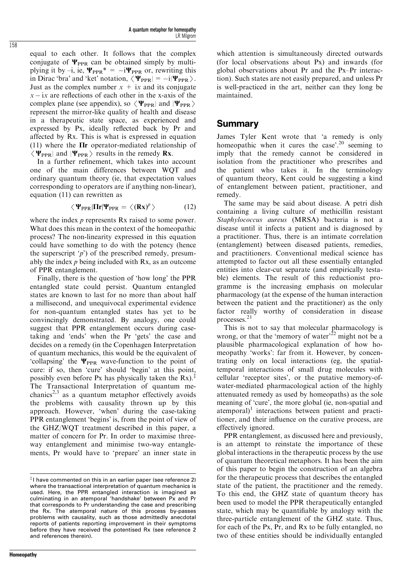equal to each other.It follows that the complex conjugate of  $\Psi_{\text{PPR}}$  can be obtained simply by multiplying it by –i, ie,  $\Psi_{PPR}^* = -i\Psi_{PPR}$  or, rewriting this in Dirac 'bra' and 'ket' notation,  $\langle \Psi_{PPR} | = -i | \Psi_{PPR} \rangle$ . Just as the complex number  $x + ix$  and its conjugate  $x - ix$  are reflections of each other in the x-axis of the complex plane (see appendix), so  $\langle \Psi_{PPR} |$  and  $|\Psi_{PPR} \rangle$ represent the mirror-like quality of health and disease in a therapeutic state space, as experienced and expressed by Px, ideally reflected back by Pr and affected by Rx.This is what is expressed in equation (11) where the  $\Pi$ r operator-mediated relationship of  $\langle \Psi_{\rm PPR} |$  and  $|\Psi_{\rm PPR}\rangle$  results in the remedy Rx.

In a further refinement, which takes into account one of the main differences between WQT and ordinary quantum theory (ie, that expectation values corresponding to operators are if anything non-linear), equation (11) can rewritten as

$$
\langle \Psi_{PPR} | \Pi r | \Psi_{PPR} = \langle (Rx)^p \rangle \tag{12}
$$

where the index  $p$  represents  $Rx$  raised to some power. What does this mean in the context of the homeopathic process? The non-linearity expressed in this equation could have something to do with the potency (hence the superscript  $p'$ ) of the prescribed remedy, presumably the index  $p$  being included with Rx, as an outcome of PPR entanglement.

Finally, there is the question of 'how long' the PPR entangled state could persist. Quantum entangled states are known to last for no more than about half a millisecond, and unequivocal experimental evidence for non-quantum entangled states has yet to be convincingly demonstrated.By analogy, one could suggest that PPR entanglement occurs during casetaking and 'ends' when the Pr 'gets' the case and decides on a remedy (in the Copenhagen Interpretation of quantum mechanics, this would be the equivalent of 'collapsing' the  $\Psi_{\text{PPR}}$  wave-function to the point of cure: if so, then 'cure' should 'begin' at this point, possibly even before Px has physically taken the  $Rx$ ).<sup> $\ddagger$ </sup> The Transactional Interpretation of quantum mechanics<sup>2,3</sup> as a quantum metaphor effectively avoids the problems with causality thrown up by this approach.However, 'when' during the case-taking PPR entanglement 'begins' is, from the point of view of the GHZ/WQT treatment described in this paper, a matter of concern for Pr.In order to maximise threeway entanglement and minimise two-way entanglements, Pr would have to 'prepare' an inner state in

which attention is simultaneously directed outwards (for local observations about Px) and inwards (for global observations about Pr and the Px–Pr interaction). Such states are not easily prepared, and unless Pr is well-practiced in the art, neither can they long be maintained.

## Summary

James Tyler Kent wrote that 'a remedy is only homeopathic when it cures the case'.<sup>20</sup> seeming to imply that the remedy cannot be considered in isolation from the practitioner who prescribes and the patient who takes it.In the terminology of quantum theory, Kent could be suggesting a kind of entanglement between patient, practitioner, and remedy.

The same may be said about disease. A petri dish containing a living culture of methicillin resistant Staphylococcus aureus (MRSA) bacteria is not a disease until it infects a patient and is diagnosed by a practitioner.Thus, there is an intimate correlation (entanglement) between diseased patients, remedies, and practitioners. Conventional medical science has attempted to factor out all these essentially entangled entities into clear-cut separate (and empirically testable) elements. The result of this reductionist programme is the increasing emphasis on molecular pharmacology (at the expense of the human interaction between the patient and the practitioner) as the only factor really worthy of consideration in disease processes.<sup>21</sup>

This is not to say that molecular pharmacology is wrong, or that the 'memory of water $^{22}$  might not be a plausible pharmacological explanation of how homeopathy 'works': far from it. However, by concentrating only on local interactions (eg, the spatialtemporal interactions of small drug molecules with cellular 'receptor sites', or the putative memory-ofwater-mediated pharmacological action of the highly attenuated remedy as used by homeopaths) as the sole meaning of 'cure', the more global (ie, non-spatial and atemporal)<sup>1</sup> interactions between patient and practitioner, and their influence on the curative process, are effectively ignored.

PPR entanglement, as discussed here and previously, is an attempt to reinstate the importance of these global interactions in the therapeutic process by the use of quantum theoretical metaphors.It has been the aim of this paper to begin the construction of an algebra for the therapeutic process that describes the entangled state of the patient, the practitioner and the remedy. To this end, the GHZ state of quantum theory has been used to model the PPR therapeutically entangled state, which may be quantifiable by analogy with the three-particle entanglement of the GHZ state.Thus, for each of the Px, Pr, and Rx to be fully entangled, no two of these entities should be individually entangled

 $*$ I have commented on this in an earlier paper (see reference 2) where the transactional interpretation of quantum mechanics is used. Here, the PPR entangled interaction is imagined as culminating in an atemporal 'handshake' between Px and Pr that corresponds to Pr understanding the case and prescribing the Rx. The atemporal nature of this process by-passes problems with causality, such as those admittedly anecdotal reports of patients reporting improvement in their symptoms before they have received the potentised Rx (see reference 2 and references therein).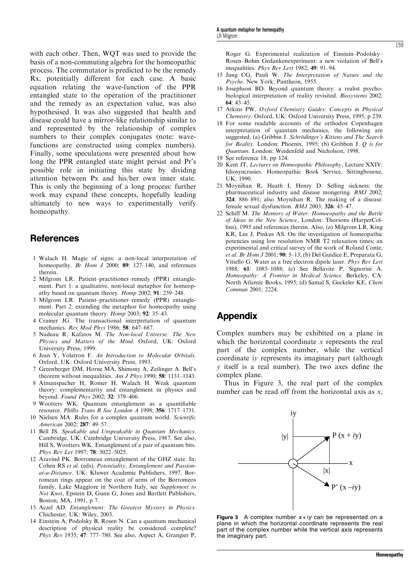with each other. Then, WQT was used to provide the basis of a non-commuting algebra for the homeopathic process.The commutator is predicted to be the remedy Rx, potentially different for each case. A basic equation relating the wave-function of the PPR entangled state to the operation of the practitioner and the remedy as an expectation value, was also hypothesised.It was also suggested that health and disease could have a mirror-like relationship similar to and represented by the relationship of complex numbers to their complex conjugates (note: wavefunctions are constructed using complex numbers). Finally, some speculations were presented about how long the PPR entangled state might persist and Pr's possible role in initiating this state by dividing attention between Px and his/her own inner state. This is only the beginning of a long process: further work may expand these concepts, hopefully leading ultimately to new ways to experimentally verify homeopathy.

## **References**

- 1 Walach H.Magic of signs: a non-local interpretation of homeopathy. Br Hom J 2000; **89**:  $127-140$ , and references therein.
- 2 Milgrom LR. Patient–practitioner–remedy (PPR) entanglement. Part 1: a qualitative, non-local metaphor for homeopathy based on quantum theory. Homp 2002; 91: 239–248.
- 3 Milgrom LR.Patient–practitioner–remedy (PPR) entanglement.Part 2: extending the metaphor for homeopathy using molecular quantum theory. Homp 2003; 92: 35–43.
- 4 Cramer JG.The transactional interpretation of quantum mechanics. Rev Mod Phys 1986; 58: 647–687.
- 5 Nadeau R, Kafatos M. The Non-local Universe: The New Physics and Matters of the Mind. Oxford, UK: Oxford University Press, 1999.
- 6 Jean Y, Volatron F. An Introduction to Molecular Orbitals. Oxford, UK: Oxford University Press, 1993.
- 7 Greenberger DM, Horne MA, Shimony A, Zeilinger A.Bell's theorem without inequalities. Am J Phys 1990; 58: 1131–1143.
- 8 Atmanspacher H, Romer H, Walach H.Weak quantum theory: complementarity and entanglement in physics and beyond. Found Phys 2002; 32: 379–406.
- 9 Wootters WK.Quantum entanglement as a quantifiable resource. Philbs Trans R Soc London A 1998; 356: 1717-1731.
- 10 Nielsen MA. Rules for a complex quantum world. Scientific American 2002; 287: 49-57.
- 11 Bell JS. Speakable and Unspeakable in Quantum Mechanics. Cambridge, UK: Cambridge University Press, 1987. See also, Hill S, Wootters WK. Entanglement of a pair of quantum bits. Phys Rev Let 1997; 78: 5022–5025.
- 12 Aravind PK. Borromean entanglement of the GHZ state. In: Cohen RS et al. (eds). Potentiality, Entanglement and Passionat-a-Distance. UK: Kluwer Academic Publishers, 1997. Borromean rings appear on the coat of arms of the Borromeos family, Lake Maggiore in Northern Italy, see Supplement to Not Knot, Epstein D, Gunn G, Jones and Bartlett Publishers, Boston, MA, 1991, p 7.
- 13 Aczel AD. Entanglement: The Greatest Mystery in Physics. Chichester, UK: Wiley, 2003.
- 14 Einstein A, Podolsky B, Rosen N.Can a quantum mechanical description of physical reality be considered complete? Phys Rev 1935; 47: 777-780. See also, Aspect A, Grangier P,
- 15 Jung CG, Pauli W. The Interpretation of Nature and the Psyche. New York: Pantheon, 1955.
- 16 Josephson BD. Beyond quantum theory: a realist psychobiological interpretation of reality revisited. Biosystems 2002; 64: 43–45.
- 17 Atkins PW. Oxford Chemistry Guides: Concepts in Physical Chemistry.Oxford, UK: Oxford University Press, 1995, p 239.
- 18 For some readable accounts of the orthodox Copenhagen interpretation of quantum mechanics, the following are suggested, (a) Gribbin J. Schrödinger's Kittens and The Search for Reality. London: Phoenix, 1995; (b) Gribbon J. Q is for Quantum.London: Weidenfeld and Nicholson, 1998.
- 19 See reference 18, pp 124.
- 20 Kent JT, Lectures on Homeopathic Philosophy, Lecture XXIV: Idiosyncrasies. Homeopathic Book Service, Sittingbourne, UK, 1990.
- 21 Moynihan R, Heath I, Henry D. Selling sickness: the pharmaceutical industry and disease mongering. BMJ 2002; 324: 886–891; also Moynihan R.The making of a disease: female sexual dysfunction. BMJ 2003; 326: 45–47.
- 22 Schiff M. The Memory of Water: Homoeopathy and the Battle of Ideas in the New Science, London: Thorsons (HarperCollins), 1995 and references therein.Also, (a) Milgrom LR, King KR, Lee J, Pinkus AS.On the investigation of homeopathic potencies using low resolution NMR T2 relaxation times; an experimental and critical survey of the work of Roland Conte, et al. Br Hom  $J$  2001; 90: 5–13; (b) Del Guidice E, Preparata G, Vitiello G.Water as a free electron dipole laser. Phys Rev Lett 1988; 61: 1085–1088; (c) See Bellavite P, Signorini A. Homeopathy: A Frontier in Medical Science. Berkeley, CA: North Atlantic Books, 1995; (d) Samal S, Geckeler KE, Chem Commun 2001; 2224.

# Appendix

Complex numbers may be exhibited on a plane in which the horizontal coordinate  $x$  represents the real part of the complex number, while the vertical coordinate iy represents its imaginary part (although  $\nu$  itself is a real number). The two axes define the complex plane.

Thus in Figure 3, the real part of the complex number can be read off from the horizontal axis as  $x$ ,



Figure 3 A complex number  $x + iy$  can be represented on a plane in which the horizontal coordinate represents the real part of the complex number while the vertical axis represents the imaginary part.